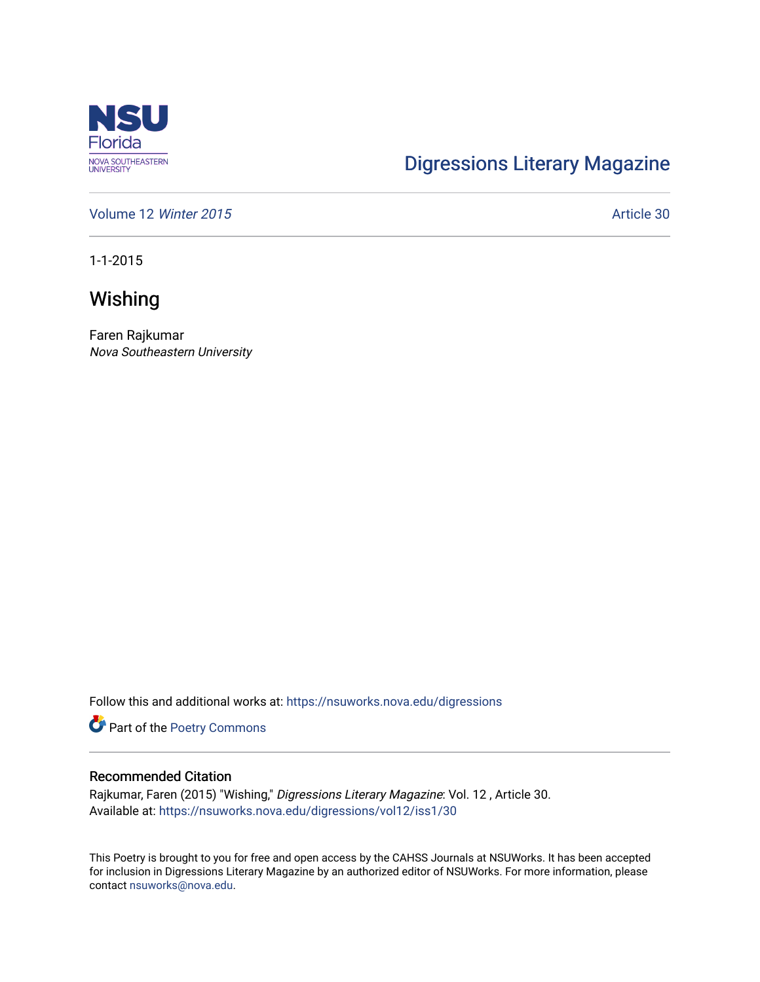

## [Digressions Literary Magazine](https://nsuworks.nova.edu/digressions)

[Volume 12](https://nsuworks.nova.edu/digressions/vol12) Winter 2015 **Article 30** Article 30

1-1-2015

**Wishing** 

Faren Rajkumar Nova Southeastern University

Follow this and additional works at: [https://nsuworks.nova.edu/digressions](https://nsuworks.nova.edu/digressions?utm_source=nsuworks.nova.edu%2Fdigressions%2Fvol12%2Fiss1%2F30&utm_medium=PDF&utm_campaign=PDFCoverPages) 

Part of the [Poetry Commons](http://network.bepress.com/hgg/discipline/1153?utm_source=nsuworks.nova.edu%2Fdigressions%2Fvol12%2Fiss1%2F30&utm_medium=PDF&utm_campaign=PDFCoverPages) 

#### Recommended Citation

Rajkumar, Faren (2015) "Wishing," Digressions Literary Magazine: Vol. 12 , Article 30. Available at: [https://nsuworks.nova.edu/digressions/vol12/iss1/30](https://nsuworks.nova.edu/digressions/vol12/iss1/30?utm_source=nsuworks.nova.edu%2Fdigressions%2Fvol12%2Fiss1%2F30&utm_medium=PDF&utm_campaign=PDFCoverPages)

This Poetry is brought to you for free and open access by the CAHSS Journals at NSUWorks. It has been accepted for inclusion in Digressions Literary Magazine by an authorized editor of NSUWorks. For more information, please contact [nsuworks@nova.edu.](mailto:nsuworks@nova.edu)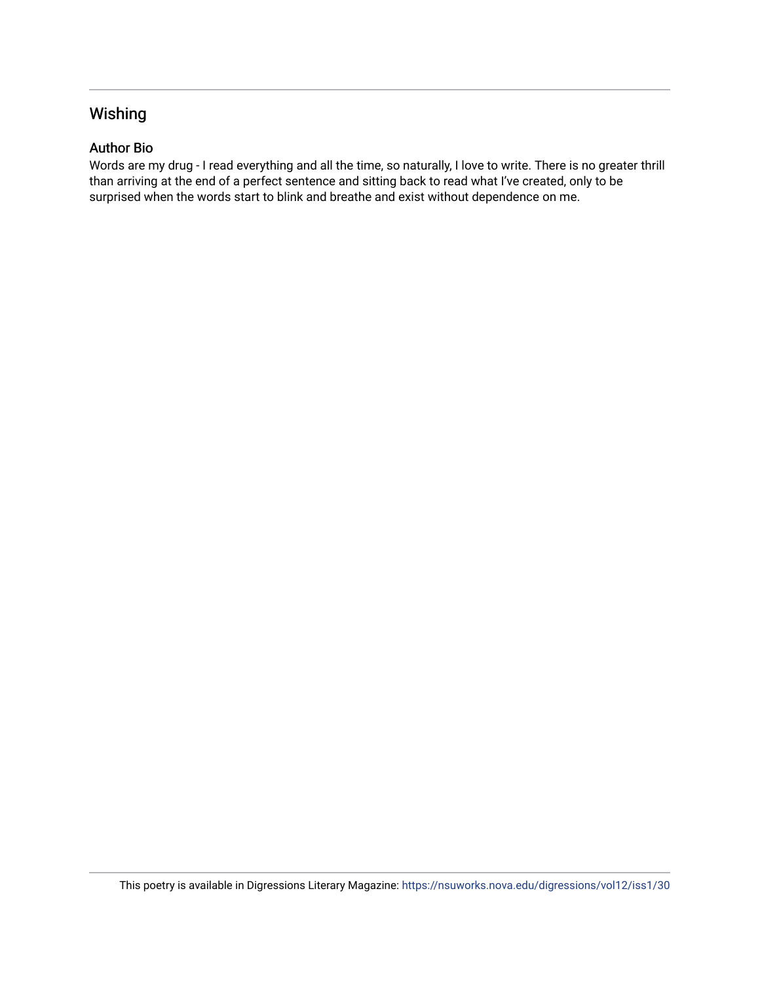### Wishing

#### Author Bio

Words are my drug - I read everything and all the time, so naturally, I love to write. There is no greater thrill than arriving at the end of a perfect sentence and sitting back to read what I've created, only to be surprised when the words start to blink and breathe and exist without dependence on me.